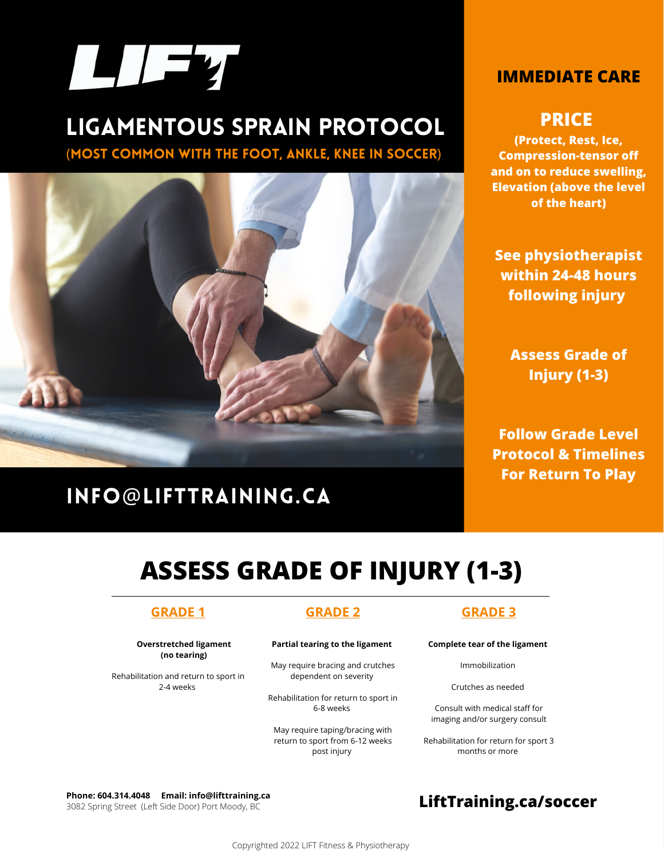

# Ligamentous sprain protocol

(Most common with the foot, ankle, knee in soccer)



# Info@[lifttraining.ca](mailto:Info@lifttraining.ca)

### **IMMEDIATE CARE**

### **PRICE**

**(Protect, Rest, Ice, Compression-tensor off and on to reduce swelling, Elevation (above the level of the heart)**

**See physiotherapist within 24-48 hours following injury**

> **Assess Grade of Injury (1-3)**

**Follow Grade Level Protocol & Timelines For Return To Play**

# **ASSESS GRADE OF INJURY (1-3)**

### **GRADE 1**

**Overstretched ligament (no tearing)**

Rehabilitation and return to sport in 2-4 weeks

### **GRADE 2**

#### **Partial tearing to the ligament**

May require bracing and crutches dependent on severity

Rehabilitation for return to sport in 6-8 weeks

May require taping/bracing with return to sport from 6-12 weeks post injury

#### **GRADE 3**

**Complete tear of the ligament**

Immobilization

Crutches as needed

Consult with medical staff for imaging and/or surgery consult

Rehabilitation for return for sport 3 months or more

**Phone[: 604.314.4048](tel:604-314-4048) Email: [info@lifttraining.ca](mailto:info@lifttraining.ca)** Phone: 604.314.4048 Email: info@lifttraining.ca<br>3082 Spring Street (Left Side Door) Port Moody, BC<br>**[LiftTraining.ca/](http://www.lifttraining.ca/)SOCCer**